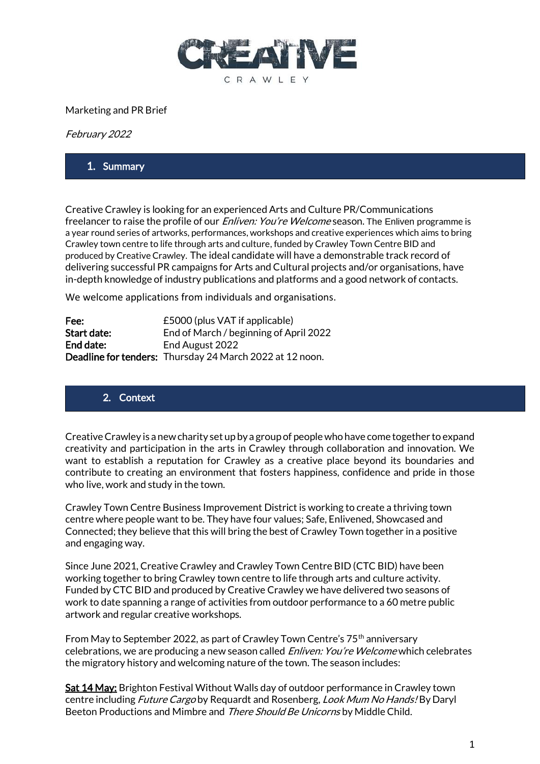

#### Marketing and PR Brief

February 2022

#### 1. Summary

Creative Crawley is looking for an experienced Arts and Culture PR/Communications freelancer to raise the profile of our *Enliven: You're Welcome* season. The Enliven programme is a year round series of artworks, performances, workshops and creative experiences which aims to bring Crawley town centre to life through arts and culture, funded by Crawley Town Centre BID and produced by Creative Crawley. The ideal candidate will have a demonstrable track record of delivering successful PR campaigns for Arts and Cultural projects and/or organisations, have in-depth knowledge of industry publications and platforms and a good network of contacts.

We welcome applications from individuals and organisations.

| Fee:        | £5000 (plus VAT if applicable)                           |
|-------------|----------------------------------------------------------|
| Start date: | End of March / beginning of April 2022                   |
| End date:   | End August 2022                                          |
|             | Deadline for tenders: Thursday 24 March 2022 at 12 noon. |

#### 2. Context

Creative Crawley is a new charity set up by a group of people who have come together to expand creativity and participation in the arts in Crawley through collaboration and innovation. We want to establish a reputation for Crawley as a creative place beyond its boundaries and contribute to creating an environment that fosters happiness, confidence and pride in those who live, work and study in the town.

Crawley Town Centre Business Improvement District is working to create a thriving town centre where people want to be. They have four values; Safe, Enlivened, Showcased and Connected; they believe that this will bring the best of Crawley Town together in a positive and engaging way.

Since June 2021, Creative Crawley and Crawley Town Centre BID (CTC BID) have been working together to bring Crawley town centre to life through arts and culture activity. Funded by CTC BID and produced by Creative Crawley we have delivered two seasons of work to date spanning a range of activities from outdoor performance to a 60 metre public artwork and regular creative workshops.

From May to September 2022, as part of Crawley Town Centre's 75<sup>th</sup> anniversary celebrations, we are producing a new season called *Enliven: You're Welcome* which celebrates the migratory history and welcoming nature of the town. The season includes:

Sat 14 May: Brighton Festival Without Walls day of outdoor performance in Crawley town centre including *Future Cargo* by Requardt and Rosenberg, *Look Mum No Hands!* By Daryl Beeton Productions and Mimbre and There Should Be Unicorns by Middle Child.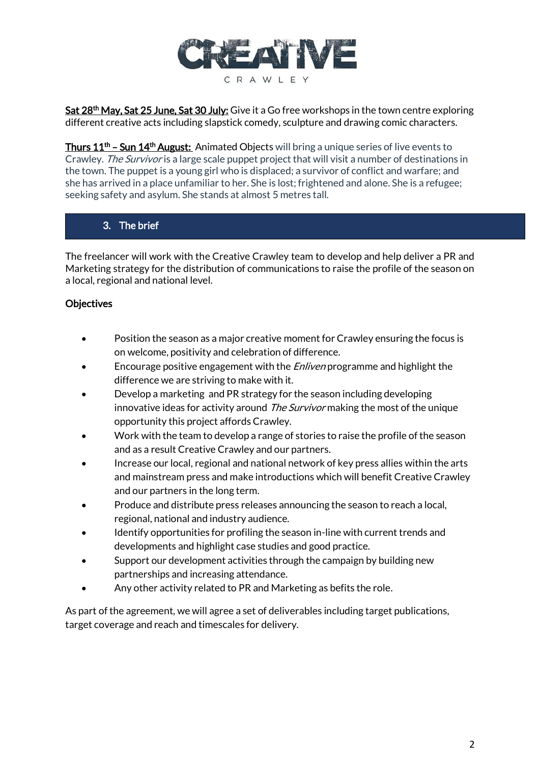

Sat 28<sup>th</sup> May, Sat 25 June, Sat 30 July: Give it a Go free workshops in the town centre exploring different creative acts including slapstick comedy, sculpture and drawing comic characters.

Thurs 11<sup>th</sup> – Sun 14<sup>th</sup> August: Animated Objects will bring a unique series of live events to Crawley. The Survivor is a large scale puppet project that will visit a number of destinations in the town. The puppet is a young girl who is displaced; a survivor of conflict and warfare; and she has arrived in a place unfamiliar to her. She is lost; frightened and alone. She is a refugee; seeking safety and asylum. She stands at almost 5 metres tall.

## 3. The brief

The freelancer will work with the Creative Crawley team to develop and help deliver a PR and Marketing strategy for the distribution of communications to raise the profile of the season on a local, regional and national level.

### **Objectives**

- Position the season as a major creative moment for Crawley ensuring the focus is on welcome, positivity and celebration of difference.
- Encourage positive engagement with the *Enliven* programme and highlight the difference we are striving to make with it.
- Develop a marketing and PR strategy for the season including developing innovative ideas for activity around *The Survivor* making the most of the unique opportunity this project affords Crawley.
- Work with the team to develop a range of stories to raise the profile of the season and as a result Creative Crawley and our partners.
- Increase our local, regional and national network of key press allies within the arts and mainstream press and make introductions which will benefit Creative Crawley and our partners in the long term.
- Produce and distribute press releases announcing the season to reach a local, regional, national and industry audience.
- Identify opportunities for profiling the season in-line with current trends and developments and highlight case studies and good practice.
- Support our development activities through the campaign by building new partnerships and increasing attendance.
- Any other activity related to PR and Marketing as befits the role.

As part of the agreement, we will agree a set of deliverables including target publications, target coverage and reach and timescales for delivery.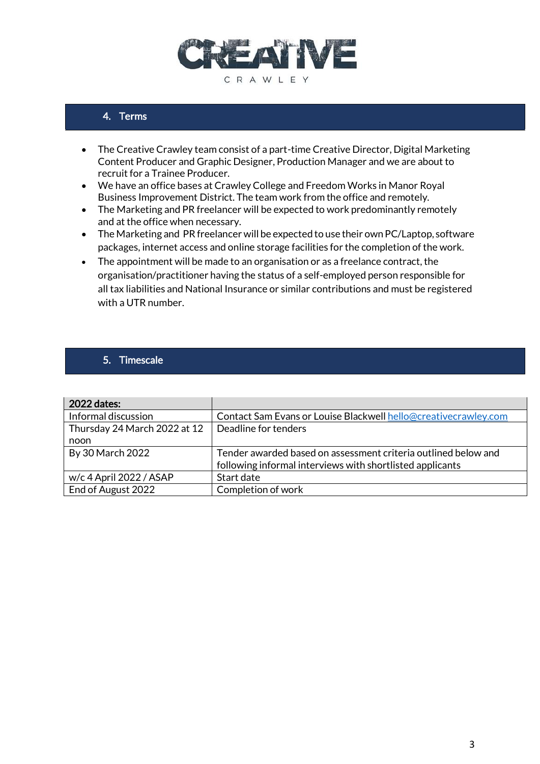

### 4. Terms

- The Creative Crawley team consist of a part-time Creative Director, Digital Marketing Content Producer and Graphic Designer, Production Manager and we are about to recruit for a Trainee Producer.
- We have an office bases at Crawley College and Freedom Works in Manor Royal Business Improvement District. The team work from the office and remotely.
- The Marketing and PR freelancer will be expected to work predominantly remotely and at the office when necessary.
- The Marketing and PR freelancer will be expected to use their own PC/Laptop, software packages, internet access and online storage facilities for the completion of the work.
- The appointment will be made to an organisation or as a freelance contract, the organisation/practitioner having the status of a self-employed person responsible for all tax liabilities and National Insurance or similar contributions and must be registered with a UTR number.

#### 5. Timescale

| 2022 dates:                  |                                                                 |
|------------------------------|-----------------------------------------------------------------|
| Informal discussion          | Contact Sam Evans or Louise Blackwell hello@creativecrawley.com |
| Thursday 24 March 2022 at 12 | Deadline for tenders                                            |
| noon                         |                                                                 |
| By 30 March 2022             | Tender awarded based on assessment criteria outlined below and  |
|                              | following informal interviews with shortlisted applicants       |
| w/c 4 April 2022 / ASAP      | Start date                                                      |
| End of August 2022           | Completion of work                                              |